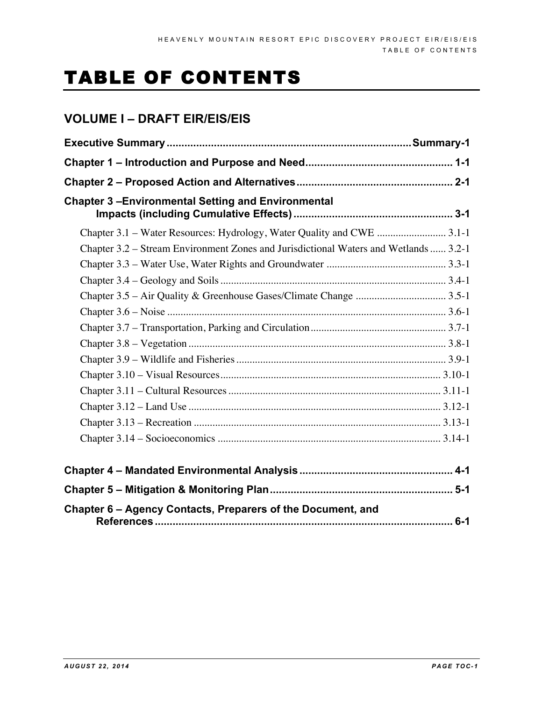## TABLE OF CONTENTS

## **VOLUME I – DRAFT EIR/EIS/EIS**

| <b>Chapter 3 -Environmental Setting and Environmental</b>                            |
|--------------------------------------------------------------------------------------|
| Chapter 3.1 - Water Resources: Hydrology, Water Quality and CWE  3.1-1               |
| Chapter 3.2 – Stream Environment Zones and Jurisdictional Waters and Wetlands  3.2-1 |
|                                                                                      |
|                                                                                      |
|                                                                                      |
|                                                                                      |
|                                                                                      |
|                                                                                      |
|                                                                                      |
|                                                                                      |
|                                                                                      |
|                                                                                      |
|                                                                                      |
|                                                                                      |
|                                                                                      |
|                                                                                      |
| Chapter 6 - Agency Contacts, Preparers of the Document, and                          |